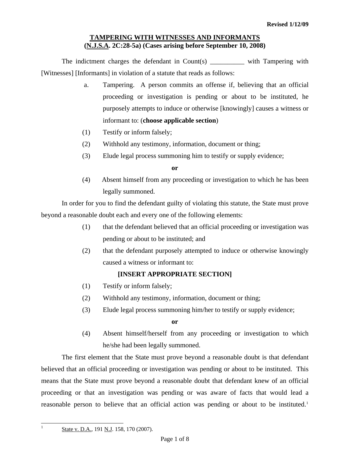## **TAMPERING WITH WITNESSES AND INFORMANTS (N.J.S.A. 2C:28-5a) (Cases arising before September 10, 2008)**

The indictment charges the defendant in Count(s) with Tampering with [Witnesses] [Informants] in violation of a statute that reads as follows:

- a. Tampering. A person commits an offense if, believing that an official proceeding or investigation is pending or about to be instituted, he purposely attempts to induce or otherwise [knowingly] causes a witness or informant to: (**choose applicable section**)
- (1) Testify or inform falsely;
- (2) Withhold any testimony, information, document or thing;
- (3) Elude legal process summoning him to testify or supply evidence;

**or** 

(4) Absent himself from any proceeding or investigation to which he has been legally summoned.

In order for you to find the defendant guilty of violating this statute, the State must prove beyond a reasonable doubt each and every one of the following elements:

- (1) that the defendant believed that an official proceeding or investigation was pending or about to be instituted; and
- (2) that the defendant purposely attempted to induce or otherwise knowingly caused a witness or informant to:

# **[INSERT APPROPRIATE SECTION]**

- (1) Testify or inform falsely;
- (2) Withhold any testimony, information, document or thing;
- (3) Elude legal process summoning him/her to testify or supply evidence;

#### **or**

(4) Absent himself/herself from any proceeding or investigation to which he/she had been legally summoned.

 The first element that the State must prove beyond a reasonable doubt is that defendant believed that an official proceeding or investigation was pending or about to be instituted. This means that the State must prove beyond a reasonable doubt that defendant knew of an official proceeding or that an investigation was pending or was aware of facts that would lead a reasonable person to believe that an official action was pending or about to be instituted.<sup>[1](#page-0-0)</sup>

<span id="page-0-1"></span><span id="page-0-0"></span> $\frac{1}{1}$ 

State v. D.A., 191 N.J. 158, 170 (2007).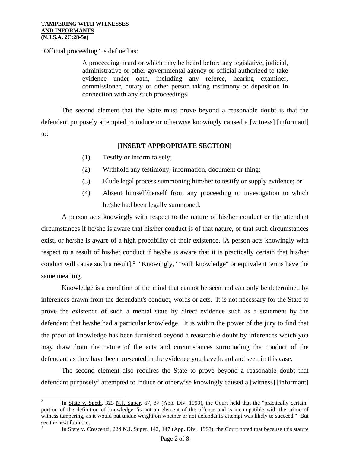"Official proceeding" is defined as:

A proceeding heard or which may be heard before any legislative, judicial, administrative or other governmental agency or official authorized to take evidence under oath, including any referee, hearing examiner, commissioner, notary or other person taking testimony or deposition in connection with any such proceedings.

 The second element that the State must prove beyond a reasonable doubt is that the defendant purposely attempted to induce or otherwise knowingly caused a [witness] [informant] to:

## **[INSERT APPROPRIATE SECTION]**

- (1) Testify or inform falsely;
- (2) Withhold any testimony, information, document or thing;
- (3) Elude legal process summoning him/her to testify or supply evidence; or
- (4) Absent himself/herself from any proceeding or investigation to which he/she had been legally summoned.

 A person acts knowingly with respect to the nature of his/her conduct or the attendant circumstances if he/she is aware that his/her conduct is of that nature, or that such circumstances exist, or he/she is aware of a high probability of their existence. [A person acts knowingly with respect to a result of his/her conduct if he/she is aware that it is practically certain that his/her conduct will cause such a result].<sup>[2](#page-0-1)</sup> "Knowingly," "with knowledge" or equivalent terms have the same meaning.

 Knowledge is a condition of the mind that cannot be seen and can only be determined by inferences drawn from the defendant's conduct, words or acts. It is not necessary for the State to prove the existence of such a mental state by direct evidence such as a statement by the defendant that he/she had a particular knowledge. It is within the power of the jury to find that the proof of knowledge has been furnished beyond a reasonable doubt by inferences which you may draw from the nature of the acts and circumstances surrounding the conduct of the defendant as they have been presented in the evidence you have heard and seen in this case.

 The second element also requires the State to prove beyond a reasonable doubt that defendant purposely<sup>[3](#page-1-0)</sup> attempted to induce or otherwise knowingly caused a [witness] [informant]

<span id="page-1-0"></span>3 In State v. Crescenzi, 224 N.J. Super. 142, 147 (App. Div. 1988), the Court noted that because this statute

<span id="page-1-1"></span> $\frac{1}{2}$ In State v. Speth, 323 N.J. Super. 67, 87 (App. Div. 1999), the Court held that the "practically certain" portion of the definition of knowledge "is not an element of the offense and is incompatible with the crime of witness tampering, as it would put undue weight on whether or not defendant's attempt was likely to succeed." But see the next footnote.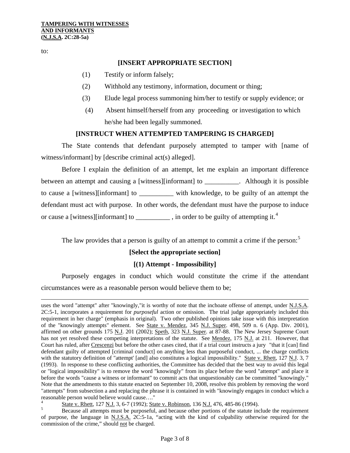to:

 $\overline{\phantom{a}}$ 

## **[INSERT APPROPRIATE SECTION]**

- (1) Testify or inform falsely;
- (2) Withhold any testimony, information, document or thing;
- (3) Elude legal process summoning him/her to testify or supply evidence; or
- (4) Absent himself/herself from any proceeding or investigation to which he/she had been legally summoned.

## **[INSTRUCT WHEN ATTEMPTED TAMPERING IS CHARGED]**

 The State contends that defendant purposely attempted to tamper with [name of witness/informant] by [describe criminal act(s) alleged].

 Before I explain the definition of an attempt, let me explain an important difference between an attempt and causing a [witness][informant] to \_\_\_\_\_\_\_\_\_\_. Although it is possible to cause a [witness][informant] to with knowledge, to be guilty of an attempt the defendant must act with purpose. In other words, the defendant must have the purpose to induce or cause a [witness][informant] to \_\_\_\_\_\_\_\_\_\_, in order to be guilty of attempting it.<sup>[4](#page-1-1)</sup>

The law provides that a person is guilty of an attempt to commit a crime if the person:<sup>[5](#page-2-0)</sup>

# **[Select the appropriate section]**

## **[(1) Attempt - Impossibility]**

 Purposely engages in conduct which would constitute the crime if the attendant circumstances were as a reasonable person would believe them to be;

uses the word "attempt" after "knowingly,"it is worthy of note that the inchoate offense of attempt, under N.J.S.A. 2C:5-1, incorporates a requirement for *purposeful* action or omission. The trial judge appropriately included this requirement in her charge" (emphasis in original). Two other published opinions take issue with this interpretation of the "knowingly attempts" element. See State v. Mendez, 345 N.J. Super. 498, 509 n. 6 (App. Div. 2001), affirmed on other grounds 175 N.J. 201 (2002); Speth, 323 N.J. Super. at 87-88. The New Jersey Supreme Court has not yet resolved these competing interpretations of the statute. See Mendez, 175 N.J. at 211. However, that Court has ruled, after Crescenzi but before the other cases cited, that if a trial court instructs a jury "that it [can] find defendant guilty of attempted [criminal conduct] on anything less than purposeful conduct, ... the charge conflicts with the statutory definition of "attempt' [and] also constitutes a logical impossibility." State v. Rhett, 127 N.J. 3, 7 (1993). In response to these conflicting authorities, the Committee has decided that the best way to avoid this legal or "logical impossibility" is to remove the word "knowingly" from its place before the word "attempt" and place it before the words "cause a witness or informant" to commit acts that unquestionably can be committed "knowingly." Note that the amendments to this statute enacted on September 10, 2008, resolve this problem by removing the word "attempts" from subsection a and replacing the phrase it is contained in with "knowingly engages in conduct which a reasonable person would believe would cause…."

<sup>4</sup>  $\frac{1}{5}$  State v. Rhett, 127 N.J. 3, 6-7 (1992); State v. Robinson, 136 N.J. 476, 485-86 (1994).

<span id="page-2-1"></span><span id="page-2-0"></span>Because all attempts must be purposeful, and because other portions of the statute include the requirement of purpose, the language in N.J.S.A. 2C:5-1a, "acting with the kind of culpability otherwise required for the commission of the crime," should not be charged.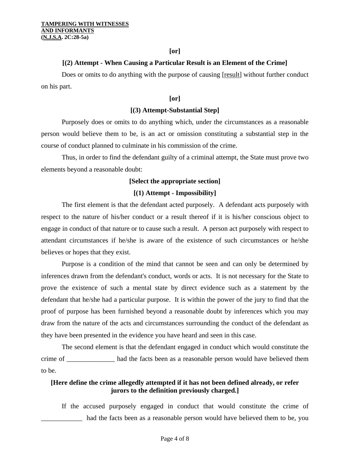#### **[or]**

#### **[(2) Attempt - When Causing a Particular Result is an Element of the Crime]**

 Does or omits to do anything with the purpose of causing [result] without further conduct on his part.

## **[or]**

#### **[(3) Attempt-Substantial Step]**

 Purposely does or omits to do anything which, under the circumstances as a reasonable person would believe them to be, is an act or omission constituting a substantial step in the course of conduct planned to culminate in his commission of the crime.

 Thus, in order to find the defendant guilty of a criminal attempt, the State must prove two elements beyond a reasonable doubt:

#### **[Select the appropriate section]**

#### **[(1) Attempt - Impossibility]**

 The first element is that the defendant acted purposely. A defendant acts purposely with respect to the nature of his/her conduct or a result thereof if it is his/her conscious object to engage in conduct of that nature or to cause such a result. A person act purposely with respect to attendant circumstances if he/she is aware of the existence of such circumstances or he/she believes or hopes that they exist.

 Purpose is a condition of the mind that cannot be seen and can only be determined by inferences drawn from the defendant's conduct, words or acts. It is not necessary for the State to prove the existence of such a mental state by direct evidence such as a statement by the defendant that he/she had a particular purpose. It is within the power of the jury to find that the proof of purpose has been furnished beyond a reasonable doubt by inferences which you may draw from the nature of the acts and circumstances surrounding the conduct of the defendant as they have been presented in the evidence you have heard and seen in this case.

 The second element is that the defendant engaged in conduct which would constitute the crime of \_\_\_\_\_\_\_\_\_\_\_\_\_\_ had the facts been as a reasonable person would have believed them to be.

## **[Here define the crime allegedly attempted if it has not been defined already, or refer jurors to the definition previously charged.]**

 If the accused purposely engaged in conduct that would constitute the crime of had the facts been as a reasonable person would have believed them to be, you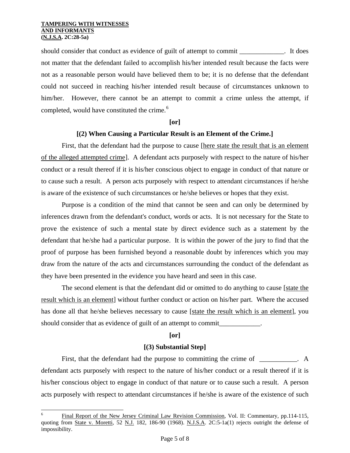l

should consider that conduct as evidence of guilt of attempt to commit \_\_\_\_\_\_\_\_\_\_\_\_\_. It does not matter that the defendant failed to accomplish his/her intended result because the facts were not as a reasonable person would have believed them to be; it is no defense that the defendant could not succeed in reaching his/her intended result because of circumstances unknown to him/her. However, there cannot be an attempt to commit a crime unless the attempt, if completed, would have constituted the crime.<sup>[6](#page-2-1)</sup>

#### **[or]**

## **[(2) When Causing a Particular Result is an Element of the Crime.]**

 First, that the defendant had the purpose to cause [here state the result that is an element of the alleged attempted crime]. A defendant acts purposely with respect to the nature of his/her conduct or a result thereof if it is his/her conscious object to engage in conduct of that nature or to cause such a result. A person acts purposely with respect to attendant circumstances if he/she is aware of the existence of such circumstances or he/she believes or hopes that they exist.

 Purpose is a condition of the mind that cannot be seen and can only be determined by inferences drawn from the defendant's conduct, words or acts. It is not necessary for the State to prove the existence of such a mental state by direct evidence such as a statement by the defendant that he/she had a particular purpose. It is within the power of the jury to find that the proof of purpose has been furnished beyond a reasonable doubt by inferences which you may draw from the nature of the acts and circumstances surrounding the conduct of the defendant as they have been presented in the evidence you have heard and seen in this case.

The second element is that the defendant did or omitted to do anything to cause [state the result which is an element] without further conduct or action on his/her part. Where the accused has done all that he/she believes necessary to cause [state the result which is an element], you should consider that as evidence of guilt of an attempt to commit\_\_\_\_\_\_\_\_\_\_\_\_.

## **[or]**

## **[(3) Substantial Step]**

First, that the defendant had the purpose to committing the crime of \_\_\_\_\_\_\_\_\_. A defendant acts purposely with respect to the nature of his/her conduct or a result thereof if it is his/her conscious object to engage in conduct of that nature or to cause such a result. A person acts purposely with respect to attendant circumstances if he/she is aware of the existence of such

<span id="page-4-0"></span><sup>6</sup> Final Report of the New Jersey Criminal Law Revision Commission, Vol. II: Commentary, pp.114-115, quoting from State v. Moretti, 52 N.J. 182, 186-90 (1968). N.J.S.A. 2C:5-1a(1) rejects outright the defense of impossibility.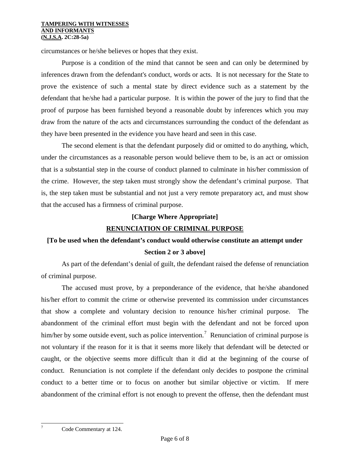#### **TAMPERING WITH WITNESSES AND INFORMANTS (N.J.S.A. 2C:28-5a)**

circumstances or he/she believes or hopes that they exist.

 Purpose is a condition of the mind that cannot be seen and can only be determined by inferences drawn from the defendant's conduct, words or acts. It is not necessary for the State to prove the existence of such a mental state by direct evidence such as a statement by the defendant that he/she had a particular purpose. It is within the power of the jury to find that the proof of purpose has been furnished beyond a reasonable doubt by inferences which you may draw from the nature of the acts and circumstances surrounding the conduct of the defendant as they have been presented in the evidence you have heard and seen in this case.

 The second element is that the defendant purposely did or omitted to do anything, which, under the circumstances as a reasonable person would believe them to be, is an act or omission that is a substantial step in the course of conduct planned to culminate in his/her commission of the crime. However, the step taken must strongly show the defendant's criminal purpose. That is, the step taken must be substantial and not just a very remote preparatory act, and must show that the accused has a firmness of criminal purpose.

## **[Charge Where Appropriate]**

# **RENUNCIATION OF CRIMINAL PURPOSE**

# **[To be used when the defendant's conduct would otherwise constitute an attempt under Section 2 or 3 above]**

 As part of the defendant's denial of guilt, the defendant raised the defense of renunciation of criminal purpose.

 The accused must prove, by a preponderance of the evidence, that he/she abandoned his/her effort to commit the crime or otherwise prevented its commission under circumstances that show a complete and voluntary decision to renounce his/her criminal purpose. The abandonment of the criminal effort must begin with the defendant and not be forced upon him/her by some outside event, such as police intervention.<sup>[7](#page-4-0)</sup> Renunciation of criminal purpose is not voluntary if the reason for it is that it seems more likely that defendant will be detected or caught, or the objective seems more difficult than it did at the beginning of the course of conduct. Renunciation is not complete if the defendant only decides to postpone the criminal conduct to a better time or to focus on another but similar objective or victim. If mere abandonment of the criminal effort is not enough to prevent the offense, then the defendant must

Code Commentary at 124.

<span id="page-5-0"></span>-<br>7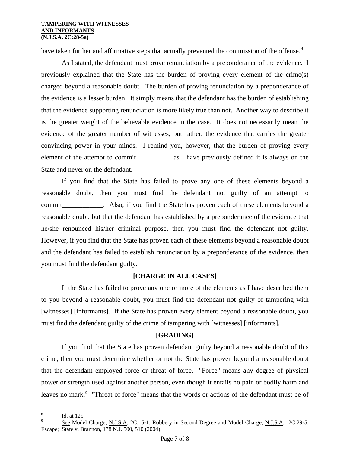#### **TAMPERING WITH WITNESSES AND INFORMANTS (N.J.S.A. 2C:28-5a)**

have taken further and affirmative steps that actually prevented the commission of the offense.<sup>[8](#page-5-0)</sup>

 As I stated, the defendant must prove renunciation by a preponderance of the evidence. I previously explained that the State has the burden of proving every element of the crime(s) charged beyond a reasonable doubt. The burden of proving renunciation by a preponderance of the evidence is a lesser burden. It simply means that the defendant has the burden of establishing that the evidence supporting renunciation is more likely true than not. Another way to describe it is the greater weight of the believable evidence in the case. It does not necessarily mean the evidence of the greater number of witnesses, but rather, the evidence that carries the greater convincing power in your minds. I remind you, however, that the burden of proving every element of the attempt to commit\_\_\_\_\_\_\_\_\_\_\_as I have previously defined it is always on the State and never on the defendant.

If you find that the State has failed to prove any one of these elements beyond a reasonable doubt, then you must find the defendant not guilty of an attempt to commit commit commit Also, if you find the State has proven each of these elements beyond a reasonable doubt, but that the defendant has established by a preponderance of the evidence that he/she renounced his/her criminal purpose, then you must find the defendant not guilty. However, if you find that the State has proven each of these elements beyond a reasonable doubt and the defendant has failed to establish renunciation by a preponderance of the evidence, then you must find the defendant guilty.

## **[CHARGE IN ALL CASES]**

 If the State has failed to prove any one or more of the elements as I have described them to you beyond a reasonable doubt, you must find the defendant not guilty of tampering with [witnesses] [informants]. If the State has proven every element beyond a reasonable doubt, you must find the defendant guilty of the crime of tampering with [witnesses] [informants].

# **[GRADING]**

 If you find that the State has proven defendant guilty beyond a reasonable doubt of this crime, then you must determine whether or not the State has proven beyond a reasonable doubt that the defendant employed force or threat of force. "Force" means any degree of physical power or strength used against another person, even though it entails no pain or bodily harm and leaves no mark.<sup>[9](#page-6-0)</sup> "Threat of force" means that the words or actions of the defendant must be of

 8 Id. at 125.

<span id="page-6-0"></span>See Model Charge, N.J.S.A. 2C:15-1, Robbery in Second Degree and Model Charge, N.J.S.A. 2C:29-5, Escape; State v. Brannon, 178 N.J. 500, 510 (2004).